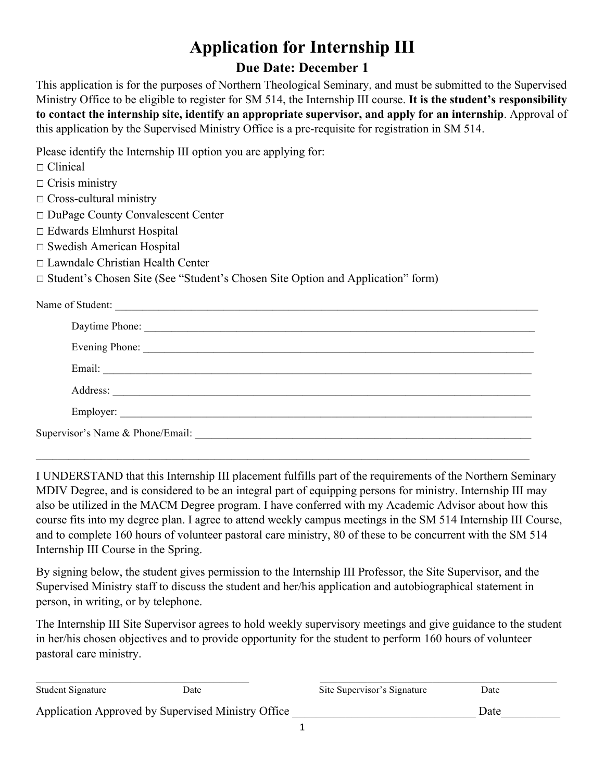# **Application for Internship III**

#### **Due Date: December 1**

This application is for the purposes of Northern Theological Seminary, and must be submitted to the Supervised Ministry Office to be eligible to register for SM 514, the Internship III course. **It is the student's responsibility to contact the internship site, identify an appropriate supervisor, and apply for an internship**. Approval of this application by the Supervised Ministry Office is a pre-requisite for registration in SM 514.

Please identify the Internship III option you are applying for:

- □ Clinical
- $\Box$  Crisis ministry
- □ Cross-cultural ministry
- □ DuPage County Convalescent Center
- □ Edwards Elmhurst Hospital
- □ Swedish American Hospital
- □ Lawndale Christian Health Center

□ Student's Chosen Site (See "Student's Chosen Site Option and Application" form)

Name of Student:

| Daytime Phone: |  |  |  |
|----------------|--|--|--|
|                |  |  |  |
|                |  |  |  |
| Address:       |  |  |  |
|                |  |  |  |
|                |  |  |  |

 $\mathcal{L}_\mathcal{L} = \mathcal{L}_\mathcal{L} = \mathcal{L}_\mathcal{L} = \mathcal{L}_\mathcal{L} = \mathcal{L}_\mathcal{L} = \mathcal{L}_\mathcal{L} = \mathcal{L}_\mathcal{L} = \mathcal{L}_\mathcal{L} = \mathcal{L}_\mathcal{L} = \mathcal{L}_\mathcal{L} = \mathcal{L}_\mathcal{L} = \mathcal{L}_\mathcal{L} = \mathcal{L}_\mathcal{L} = \mathcal{L}_\mathcal{L} = \mathcal{L}_\mathcal{L} = \mathcal{L}_\mathcal{L} = \mathcal{L}_\mathcal{L}$ 

I UNDERSTAND that this Internship III placement fulfills part of the requirements of the Northern Seminary MDIV Degree, and is considered to be an integral part of equipping persons for ministry. Internship III may also be utilized in the MACM Degree program. I have conferred with my Academic Advisor about how this course fits into my degree plan. I agree to attend weekly campus meetings in the SM 514 Internship III Course, and to complete 160 hours of volunteer pastoral care ministry, 80 of these to be concurrent with the SM 514 Internship III Course in the Spring.

By signing below, the student gives permission to the Internship III Professor, the Site Supervisor, and the Supervised Ministry staff to discuss the student and her/his application and autobiographical statement in person, in writing, or by telephone.

The Internship III Site Supervisor agrees to hold weekly supervisory meetings and give guidance to the student in her/his chosen objectives and to provide opportunity for the student to perform 160 hours of volunteer pastoral care ministry.

| Student Signature                                  | Date | Site Supervisor's Signature | Date |  |
|----------------------------------------------------|------|-----------------------------|------|--|
| Application Approved by Supervised Ministry Office |      |                             | Date |  |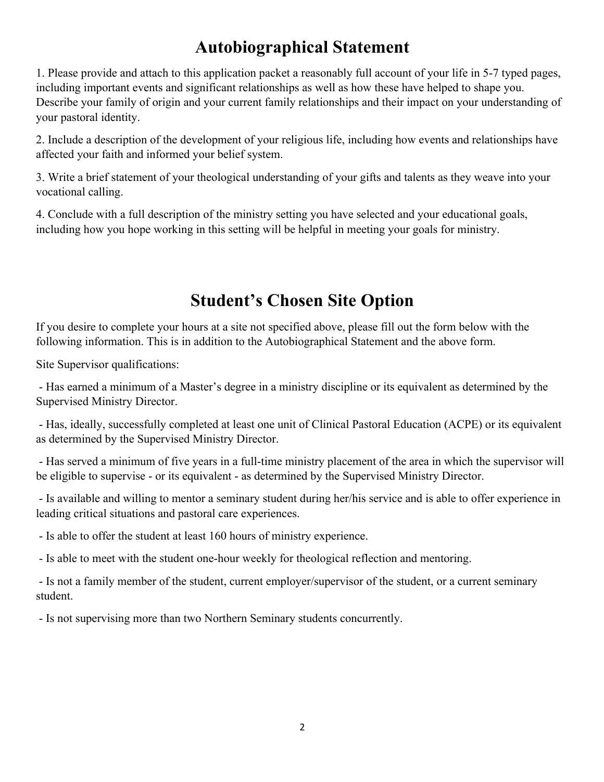## **Autobiographical Statement**

1. Please provide and attach to this application packet a reasonably full account of your life in 5-7 typed pages, including important events and significant relationships as well as how these have helped to shape you. Describe your family of origin and your current family relationships and their impact on your understanding of your pastoral identity.

2. Include a description of the development of your religious life, including how events and relationships have affected your faith and informed your belief system.

3. Write a brief statement of your theological understanding of your gifts and talents as they weave into your vocational calling.

4. Conclude with a full description of the ministry setting you have selected and your educational goals, including how you hope working in this setting will be helpful in meeting your goals for ministry.

### **Student's Chosen Site Option**

If you desire to complete your hours at a site not specified above, please fill out the form below with the following information. This is in addition to the Autobiographical Statement and the above form.

Site Supervisor qualifications:

- Has earned a minimum of a Master's degree in a ministry discipline or its equivalent as determined by the Supervised Ministry Director.

- Has, ideally, successfully completed at least one unit of Clinical Pastoral Education (ACPE) or its equivalent as determined by the Supervised Ministry Director.

- Has served a minimum of five years in a full-time ministry placement of the area in which the supervisor will be eligible to supervise - or its equivalent - as determined by the Supervised Ministry Director.

- Is available and willing to mentor a seminary student during her/his service and is able to offer experience in leading critical situations and pastoral care experiences.

- Is able to offer the student at least 160 hours of ministry experience.

- Is able to meet with the student one-hour weekly for theological reflection and mentoring.

- Is not a family member of the student, current employer/supervisor of the student, or a current seminary student.

- Is not supervising more than two Northern Seminary students concurrently.